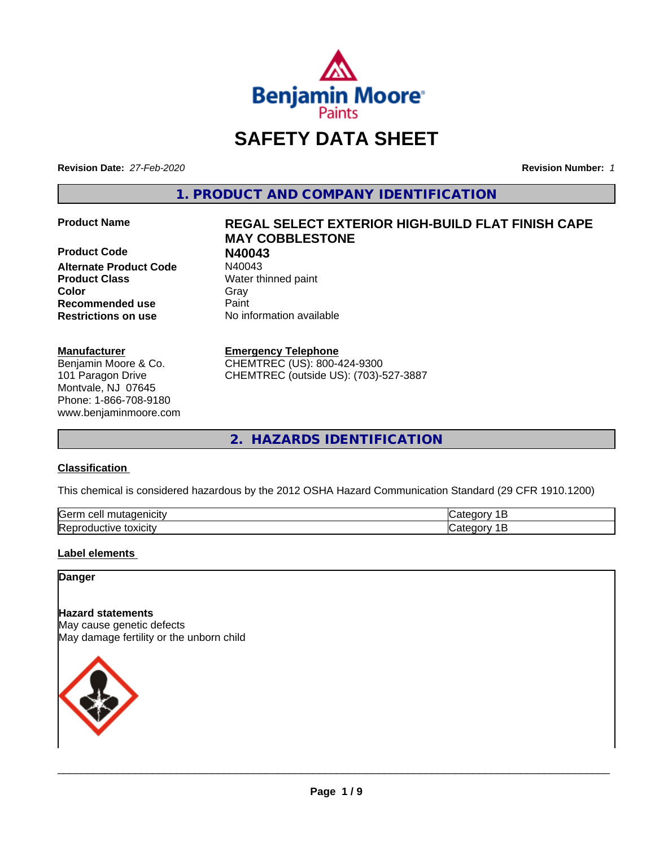

# **SAFETY DATA SHEET**

**Revision Date:** *27-Feb-2020* **Revision Number:** *1*

**1. PRODUCT AND COMPANY IDENTIFICATION**

**Product Code N40043 Alternate Product Code Product Class** Water thinned paint **Color** Gray Gray **Recommended use Caint Restrictions on use** No information available

#### **Manufacturer**

Benjamin Moore & Co. 101 Paragon Drive Montvale, NJ 07645 Phone: 1-866-708-9180 www.benjaminmoore.com

# **Product Name REGAL SELECT EXTERIOR HIGH-BUILD FLAT FINISH CAPE MAY COBBLESTONE**

#### **Emergency Telephone**

CHEMTREC (US): 800-424-9300 CHEMTREC (outside US): (703)-527-3887

**2. HAZARDS IDENTIFICATION**

#### **Classification**

This chemical is considered hazardous by the 2012 OSHA Hazard Communication Standard (29 CFR 1910.1200)

| <b>Germ</b><br>ell:<br>- - - - -<br>.<br>ш<br>-II V |  |
|-----------------------------------------------------|--|
| toxicity<br>JUE.<br>.<br>. זם א<br>,,,,,            |  |

#### **Label elements**

#### **Danger**

**Hazard statements** May cause genetic defects May damage fertility or the unborn child

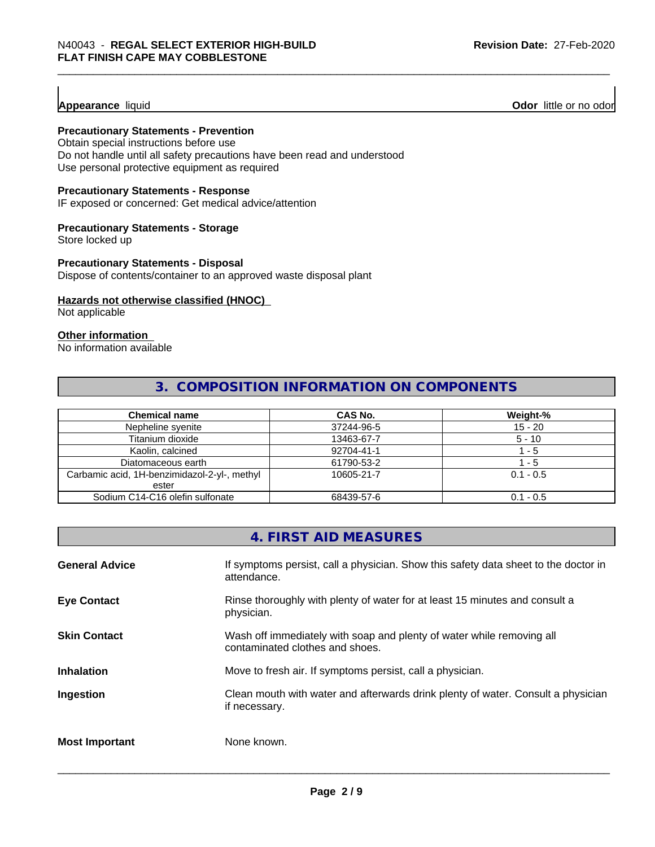### **Appearance** liquid

**Odor** little or no odor

### **Precautionary Statements - Prevention**

Obtain special instructions before use Do not handle until all safety precautions have been read and understood Use personal protective equipment as required

#### **Precautionary Statements - Response**

IF exposed or concerned: Get medical advice/attention

#### **Precautionary Statements - Storage**

Store locked up

#### **Precautionary Statements - Disposal**

Dispose of contents/container to an approved waste disposal plant

#### **Hazards not otherwise classified (HNOC)**

Not applicable

#### **Other information**

No information available

# **3. COMPOSITION INFORMATION ON COMPONENTS**

| <b>Chemical name</b>                         | <b>CAS No.</b> | Weight-%    |
|----------------------------------------------|----------------|-------------|
| Nepheline syenite                            | 37244-96-5     | $15 - 20$   |
| Titanium dioxide                             | 13463-67-7     | $5 - 10$    |
| Kaolin, calcined                             | 92704-41-1     | $-5$        |
| Diatomaceous earth                           | 61790-53-2     | - 5         |
| Carbamic acid, 1H-benzimidazol-2-yl-, methyl | 10605-21-7     | $0.1 - 0.5$ |
| ester                                        |                |             |
| Sodium C14-C16 olefin sulfonate              | 68439-57-6     | $0.1 - 0.5$ |

# **4. FIRST AID MEASURES**

| <b>General Advice</b> | If symptoms persist, call a physician. Show this safety data sheet to the doctor in<br>attendance.       |
|-----------------------|----------------------------------------------------------------------------------------------------------|
| <b>Eye Contact</b>    | Rinse thoroughly with plenty of water for at least 15 minutes and consult a<br>physician.                |
| <b>Skin Contact</b>   | Wash off immediately with soap and plenty of water while removing all<br>contaminated clothes and shoes. |
| <b>Inhalation</b>     | Move to fresh air. If symptoms persist, call a physician.                                                |
| Ingestion             | Clean mouth with water and afterwards drink plenty of water. Consult a physician<br>if necessary.        |
| <b>Most Important</b> | None known.                                                                                              |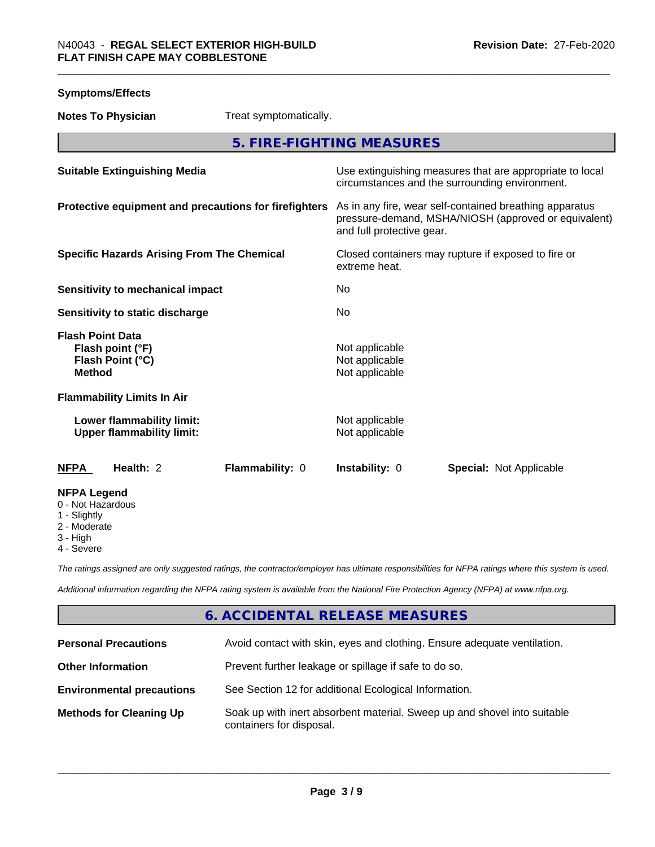| <b>Symptoms/Effects</b>                                                          |                                                                                                                                              |
|----------------------------------------------------------------------------------|----------------------------------------------------------------------------------------------------------------------------------------------|
| <b>Notes To Physician</b><br>Treat symptomatically.                              |                                                                                                                                              |
|                                                                                  | 5. FIRE-FIGHTING MEASURES                                                                                                                    |
| <b>Suitable Extinguishing Media</b>                                              | Use extinguishing measures that are appropriate to local<br>circumstances and the surrounding environment.                                   |
| Protective equipment and precautions for firefighters                            | As in any fire, wear self-contained breathing apparatus<br>pressure-demand, MSHA/NIOSH (approved or equivalent)<br>and full protective gear. |
| <b>Specific Hazards Arising From The Chemical</b>                                | Closed containers may rupture if exposed to fire or<br>extreme heat.                                                                         |
| Sensitivity to mechanical impact                                                 | No                                                                                                                                           |
| Sensitivity to static discharge                                                  | No                                                                                                                                           |
| <b>Flash Point Data</b><br>Flash point (°F)<br>Flash Point (°C)<br><b>Method</b> | Not applicable<br>Not applicable<br>Not applicable                                                                                           |
| <b>Flammability Limits In Air</b>                                                |                                                                                                                                              |
| Lower flammability limit:<br><b>Upper flammability limit:</b>                    | Not applicable<br>Not applicable                                                                                                             |
| Health: 2<br>Flammability: 0<br><b>NFPA</b>                                      | Instability: 0<br><b>Special: Not Applicable</b>                                                                                             |
| <b>NFPA Legend</b><br>0 - Not Hazardous<br>1 - Slightly<br>2 - Moderate          |                                                                                                                                              |

- 3 High
- 4 Severe

*The ratings assigned are only suggested ratings, the contractor/employer has ultimate responsibilities for NFPA ratings where this system is used.*

*Additional information regarding the NFPA rating system is available from the National Fire Protection Agency (NFPA) at www.nfpa.org.*

# **6. ACCIDENTAL RELEASE MEASURES**

| <b>Personal Precautions</b>      | Avoid contact with skin, eyes and clothing. Ensure adequate ventilation.                             |
|----------------------------------|------------------------------------------------------------------------------------------------------|
| <b>Other Information</b>         | Prevent further leakage or spillage if safe to do so.                                                |
| <b>Environmental precautions</b> | See Section 12 for additional Ecological Information.                                                |
| <b>Methods for Cleaning Up</b>   | Soak up with inert absorbent material. Sweep up and shovel into suitable<br>containers for disposal. |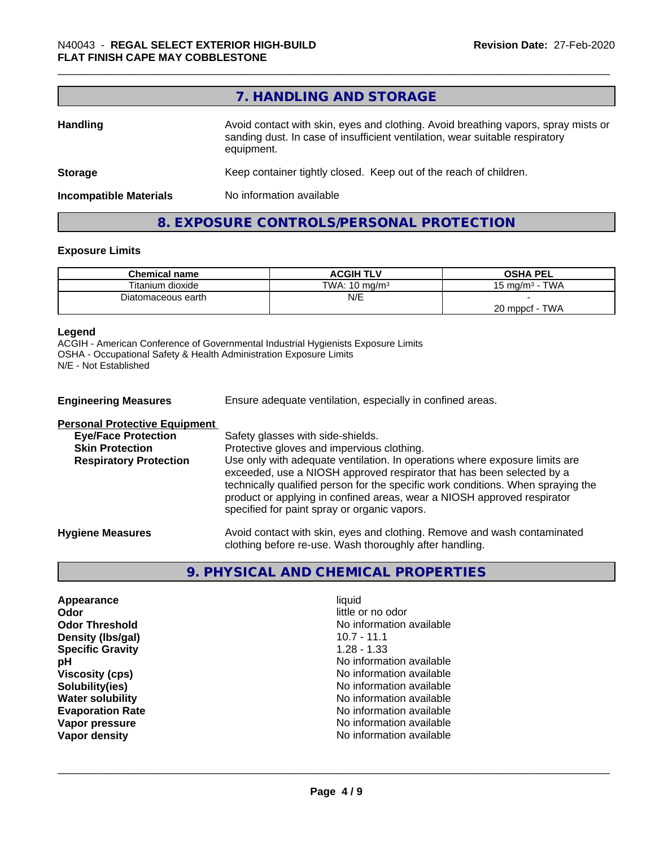# **7. HANDLING AND STORAGE**

| <b>Handling</b>               | Avoid contact with skin, eyes and clothing. Avoid breathing vapors, spray mists or<br>sanding dust. In case of insufficient ventilation, wear suitable respiratory<br>equipment. |  |
|-------------------------------|----------------------------------------------------------------------------------------------------------------------------------------------------------------------------------|--|
| <b>Storage</b>                | Keep container tightly closed. Keep out of the reach of children.                                                                                                                |  |
| <b>Incompatible Materials</b> | No information available                                                                                                                                                         |  |
|                               |                                                                                                                                                                                  |  |

# **8. EXPOSURE CONTROLS/PERSONAL PROTECTION**

#### **Exposure Limits**

| <b>Chemical name</b> | <b>ACGIH TLV</b>         | <b>OSHA PEL</b>                 |
|----------------------|--------------------------|---------------------------------|
| Titanium dioxide     | TWA: $10 \text{ ma/m}^3$ | <b>TWA</b><br>15 mg/m $3 \cdot$ |
| Diatomaceous earth   | N/E                      |                                 |
|                      |                          | TWA<br>20 mppcf                 |

#### **Legend**

ACGIH - American Conference of Governmental Industrial Hygienists Exposure Limits OSHA - Occupational Safety & Health Administration Exposure Limits N/E - Not Established

| <b>Engineering Measures</b>          | Ensure adequate ventilation, especially in confined areas.                                                                                                                                                                                                                                                                                                          |
|--------------------------------------|---------------------------------------------------------------------------------------------------------------------------------------------------------------------------------------------------------------------------------------------------------------------------------------------------------------------------------------------------------------------|
| <b>Personal Protective Equipment</b> |                                                                                                                                                                                                                                                                                                                                                                     |
| <b>Eye/Face Protection</b>           | Safety glasses with side-shields.                                                                                                                                                                                                                                                                                                                                   |
| <b>Skin Protection</b>               | Protective gloves and impervious clothing.                                                                                                                                                                                                                                                                                                                          |
| <b>Respiratory Protection</b>        | Use only with adequate ventilation. In operations where exposure limits are<br>exceeded, use a NIOSH approved respirator that has been selected by a<br>technically qualified person for the specific work conditions. When spraying the<br>product or applying in confined areas, wear a NIOSH approved respirator<br>specified for paint spray or organic vapors. |
| <b>Hygiene Measures</b>              | Avoid contact with skin, eyes and clothing. Remove and wash contaminated<br>clothing before re-use. Wash thoroughly after handling.                                                                                                                                                                                                                                 |

# **9. PHYSICAL AND CHEMICAL PROPERTIES**

| Appearance              |
|-------------------------|
| Odor                    |
| <b>Odor Threshold</b>   |
| Density (Ibs/gal)       |
| <b>Specific Gravity</b> |
| рH                      |
| <b>Viscosity (cps)</b>  |
| Solubility(ies)         |
| <b>Water solubility</b> |
| <b>Evaporation Rate</b> |
| Vapor pressure          |
| <b>Vapor density</b>    |

**Appearance** and the contract of the contract of the contract of the contract of the contract of the contract of the contract of the contract of the contract of the contract of the contract of the contract of the contract little or no odor No information available<br>10.7 - 11.1 **Density (lbs/gal)** 10.7 - 11.1 **Specific Gravity** 1.28 - 1.33 **No information available Viscosity (cps)** No information available **Solubility(ies)** No information available **No information available Evaporation Rate** No information available **No information available No information available**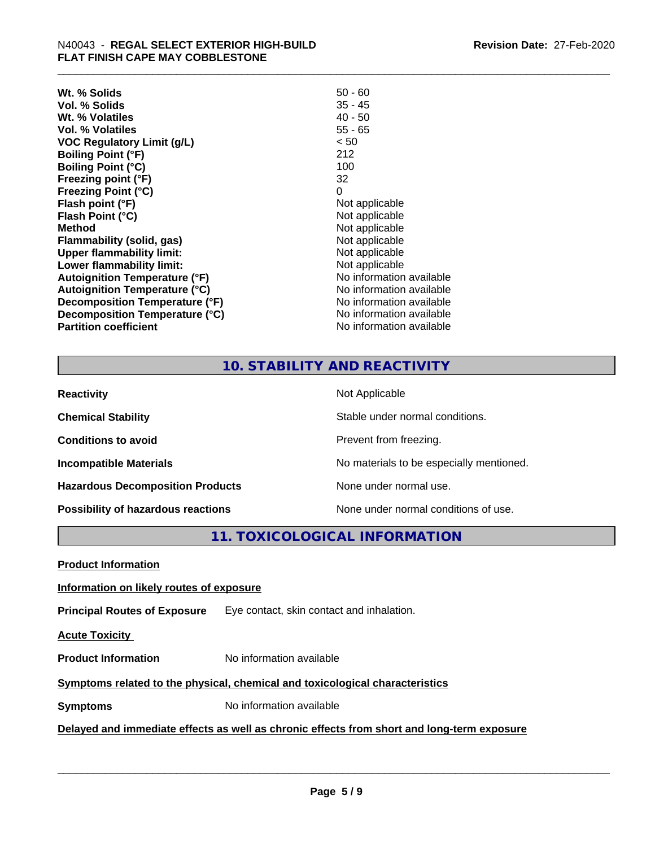| $50 - 60$                |
|--------------------------|
| $35 - 45$                |
| $40 - 50$                |
| $55 - 65$                |
| < 50                     |
| 212                      |
| 100                      |
| 32                       |
| 0                        |
| Not applicable           |
| Not applicable           |
| Not applicable           |
| Not applicable           |
| Not applicable           |
| Not applicable           |
| No information available |
| No information available |
| No information available |
| No information available |
| No information available |
|                          |

# **10. STABILITY AND REACTIVITY**

| <b>Reactivity</b>                       | Not Applicable                           |
|-----------------------------------------|------------------------------------------|
| <b>Chemical Stability</b>               | Stable under normal conditions.          |
| <b>Conditions to avoid</b>              | Prevent from freezing.                   |
| <b>Incompatible Materials</b>           | No materials to be especially mentioned. |
| <b>Hazardous Decomposition Products</b> | None under normal use.                   |
| Possibility of hazardous reactions      | None under normal conditions of use.     |

**11. TOXICOLOGICAL INFORMATION**

**Product Information**

#### **Information on likely routes of exposure**

**Principal Routes of Exposure** Eye contact, skin contact and inhalation.

**Acute Toxicity** 

**Product Information** No information available

### **Symptoms** related to the physical, chemical and toxicological characteristics

**Symptoms** No information available

**Delayed and immediate effects as well as chronic effects from short and long-term exposure**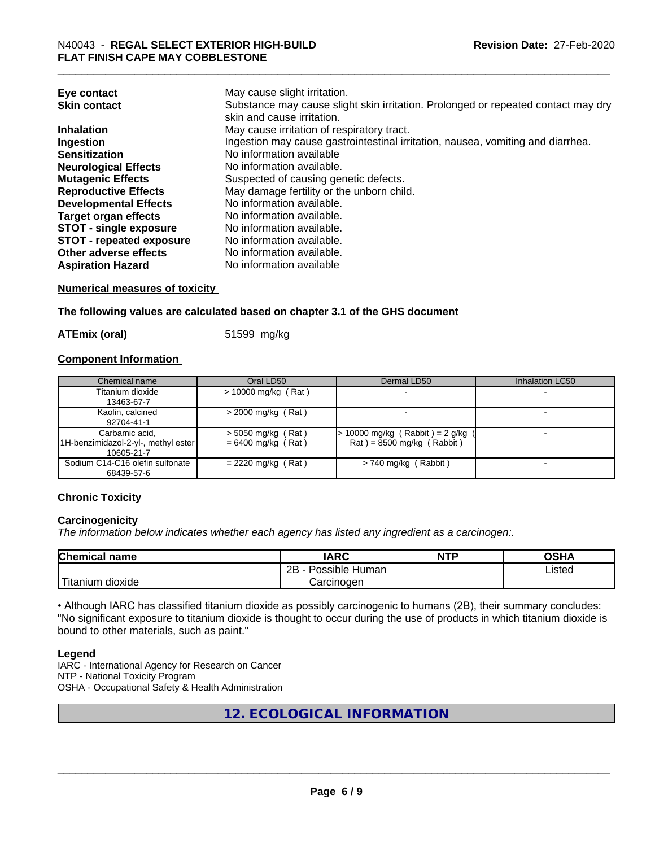| Eye contact                     | May cause slight irritation.                                                      |
|---------------------------------|-----------------------------------------------------------------------------------|
| <b>Skin contact</b>             | Substance may cause slight skin irritation. Prolonged or repeated contact may dry |
|                                 | skin and cause irritation.                                                        |
| <b>Inhalation</b>               | May cause irritation of respiratory tract.                                        |
| Ingestion                       | Ingestion may cause gastrointestinal irritation, nausea, vomiting and diarrhea.   |
| <b>Sensitization</b>            | No information available                                                          |
| <b>Neurological Effects</b>     | No information available.                                                         |
| <b>Mutagenic Effects</b>        | Suspected of causing genetic defects.                                             |
| <b>Reproductive Effects</b>     | May damage fertility or the unborn child.                                         |
| <b>Developmental Effects</b>    | No information available.                                                         |
| <b>Target organ effects</b>     | No information available.                                                         |
| <b>STOT - single exposure</b>   | No information available.                                                         |
| <b>STOT - repeated exposure</b> | No information available.                                                         |
| Other adverse effects           | No information available.                                                         |
| <b>Aspiration Hazard</b>        | No information available                                                          |

#### **Numerical measures of toxicity**

**The following values are calculated based on chapter 3.1 of the GHS document**

**ATEmix (oral)** 51599 mg/kg

#### **Component Information**

| Chemical name                       | Oral LD50            | Dermal LD50                         | Inhalation LC50 |
|-------------------------------------|----------------------|-------------------------------------|-----------------|
| Titanium dioxide                    | > 10000 mg/kg (Rat)  |                                     |                 |
| 13463-67-7                          |                      |                                     |                 |
| Kaolin, calcined                    | $>$ 2000 mg/kg (Rat) |                                     |                 |
| 92704-41-1                          |                      |                                     |                 |
| Carbamic acid.                      | $>$ 5050 mg/kg (Rat) | $> 10000$ mg/kg (Rabbit) = 2 g/kg ( |                 |
| 1H-benzimidazol-2-yl-, methyl ester | $= 6400$ mg/kg (Rat) | $Rat$ = 8500 mg/kg (Rabbit)         |                 |
| 10605-21-7                          |                      |                                     |                 |
| Sodium C14-C16 olefin sulfonate     | $= 2220$ mg/kg (Rat) | $> 740$ mg/kg (Rabbit)              |                 |
| 68439-57-6                          |                      |                                     |                 |

#### **Chronic Toxicity**

#### **Carcinogenicity**

*The information below indicateswhether each agency has listed any ingredient as a carcinogen:.*

| <b>Chemical</b><br>name            | <b>IARC</b>                                | <b>NTP</b> | ດເ⊔າ<br>∪אח |
|------------------------------------|--------------------------------------------|------------|-------------|
|                                    | .<br>クロ<br>Human<br>Possible<br><u>_ _</u> |            | ∟isted      |
| .<br><br>dioxide<br><b>itanium</b> | Carcinogen                                 |            |             |

• Although IARC has classified titanium dioxide as possibly carcinogenic to humans (2B), their summary concludes: "No significant exposure to titanium dioxide is thought to occur during the use of products in which titanium dioxide is bound to other materials, such as paint."

#### **Legend**

IARC - International Agency for Research on Cancer NTP - National Toxicity Program OSHA - Occupational Safety & Health Administration

**12. ECOLOGICAL INFORMATION**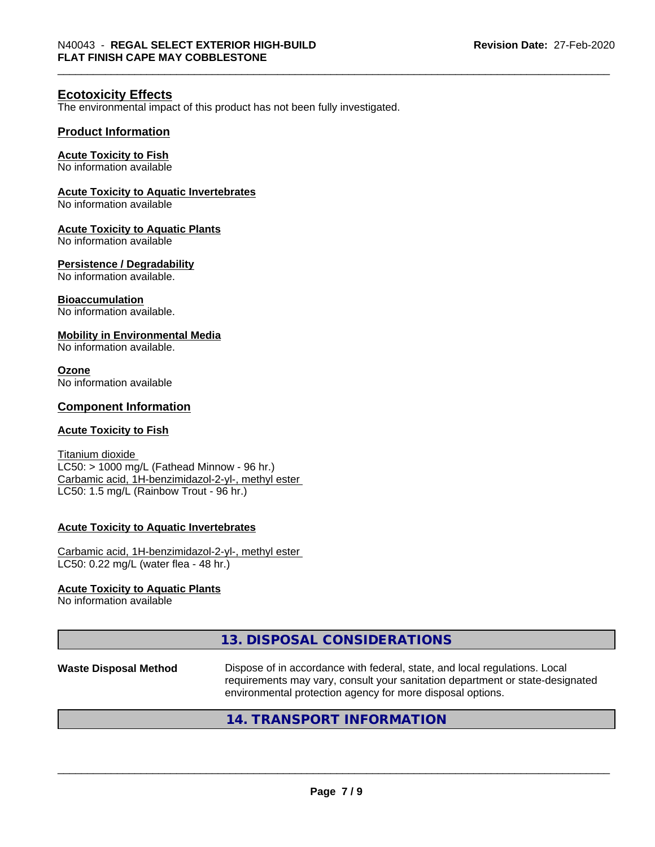### **Ecotoxicity Effects**

The environmental impact of this product has not been fully investigated.

#### **Product Information**

#### **Acute Toxicity to Fish**

No information available

#### **Acute Toxicity to Aquatic Invertebrates**

No information available

#### **Acute Toxicity to Aquatic Plants**

No information available

#### **Persistence / Degradability**

No information available.

#### **Bioaccumulation**

No information available.

#### **Mobility in Environmental Media**

No information available.

#### **Ozone**

No information available

#### **Component Information**

#### **Acute Toxicity to Fish**

Titanium dioxide  $LC50:$  > 1000 mg/L (Fathead Minnow - 96 hr.) Carbamic acid, 1H-benzimidazol-2-yl-, methyl ester LC50: 1.5 mg/L (Rainbow Trout - 96 hr.)

#### **Acute Toxicity to Aquatic Invertebrates**

Carbamic acid, 1H-benzimidazol-2-yl-, methyl ester LC50: 0.22 mg/L (water flea - 48 hr.)

#### **Acute Toxicity to Aquatic Plants**

No information available

## **13. DISPOSAL CONSIDERATIONS**

**Waste Disposal Method** Dispose of in accordance with federal, state, and local regulations. Local requirements may vary, consult your sanitation department or state-designated environmental protection agency for more disposal options.

 $\overline{\phantom{a}}$  ,  $\overline{\phantom{a}}$  ,  $\overline{\phantom{a}}$  ,  $\overline{\phantom{a}}$  ,  $\overline{\phantom{a}}$  ,  $\overline{\phantom{a}}$  ,  $\overline{\phantom{a}}$  ,  $\overline{\phantom{a}}$  ,  $\overline{\phantom{a}}$  ,  $\overline{\phantom{a}}$  ,  $\overline{\phantom{a}}$  ,  $\overline{\phantom{a}}$  ,  $\overline{\phantom{a}}$  ,  $\overline{\phantom{a}}$  ,  $\overline{\phantom{a}}$  ,  $\overline{\phantom{a}}$ 

#### **14. TRANSPORT INFORMATION**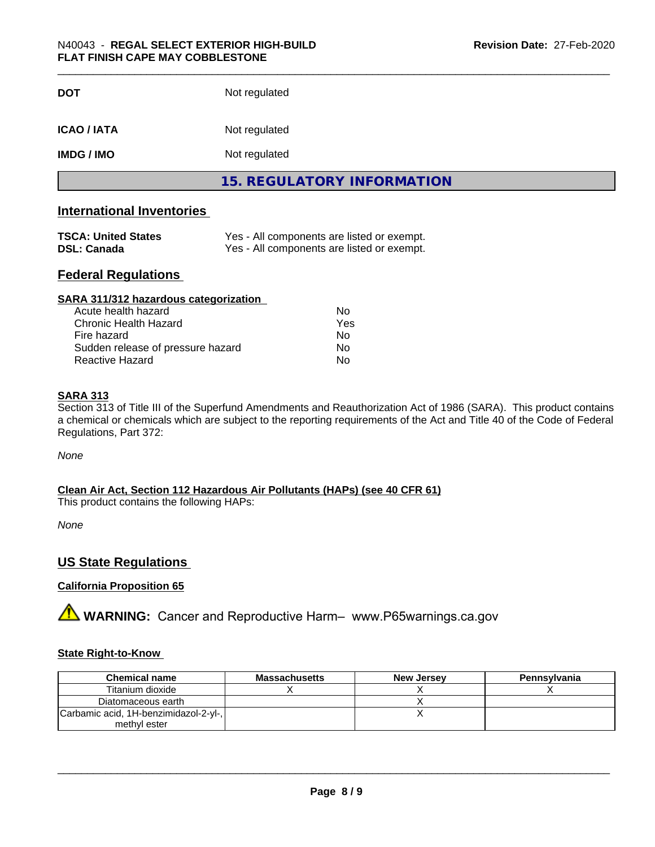| <b>DOT</b>        | Not regulated                     |
|-------------------|-----------------------------------|
| ICAO / IATA       | Not regulated                     |
| <b>IMDG / IMO</b> | Not regulated                     |
|                   | <b>15. REGULATORY INFORMATION</b> |

# **International Inventories**

| <b>TSCA: United States</b> | Yes - All components are listed or exempt. |
|----------------------------|--------------------------------------------|
| <b>DSL: Canada</b>         | Yes - All components are listed or exempt. |

### **Federal Regulations**

| SARA 311/312 hazardous categorization |     |  |
|---------------------------------------|-----|--|
| Acute health hazard                   | Nο  |  |
| Chronic Health Hazard                 | Yes |  |
| Fire hazard                           | Nο  |  |
| Sudden release of pressure hazard     | Nο  |  |
| Reactive Hazard                       | No  |  |

#### **SARA 313**

Section 313 of Title III of the Superfund Amendments and Reauthorization Act of 1986 (SARA). This product contains a chemical or chemicals which are subject to the reporting requirements of the Act and Title 40 of the Code of Federal Regulations, Part 372:

*None*

**Clean Air Act,Section 112 Hazardous Air Pollutants (HAPs) (see 40 CFR 61)**

This product contains the following HAPs:

*None*

## **US State Regulations**

#### **California Proposition 65**

**A** WARNING: Cancer and Reproductive Harm– www.P65warnings.ca.gov

#### **State Right-to-Know**

| <b>Chemical name</b>                  | <b>Massachusetts</b> | <b>New Jersey</b> | Pennsylvania |
|---------------------------------------|----------------------|-------------------|--------------|
| Titanium dioxide                      |                      |                   |              |
| Diatomaceous earth                    |                      |                   |              |
| Carbamic acid, 1H-benzimidazol-2-yl-, |                      |                   |              |
| methyl ester                          |                      |                   |              |